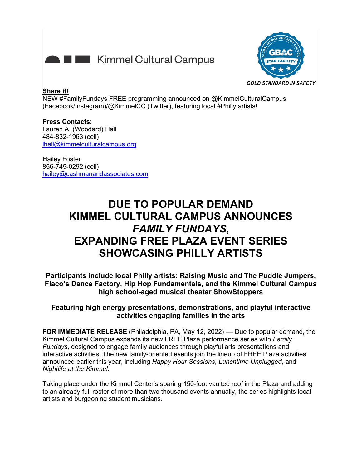



#### **Share it!**

NEW #FamilyFundays FREE programming announced on @KimmelCulturalCampus (Facebook/Instagram)/@KimmelCC (Twitter), featuring local #Philly artists!

**Press Contacts:** Lauren A. (Woodard) Hall 484-832-1963 (cell) [lhall@kimmelculturalcampus.org](mailto:lhall@kimmelculturalcampus.org) 

Hailey Foster 856-745-0292 (cell) [hailey@cashmanandassociates.com](mailto:hailey@cashmanandassociates.com)

# **DUE TO POPULAR DEMAND KIMMEL CULTURAL CAMPUS ANNOUNCES**  *FAMILY FUNDAYS***, EXPANDING FREE PLAZA EVENT SERIES SHOWCASING PHILLY ARTISTS**

**Participants include local Philly artists: Raising Music and The Puddle Jumpers, Flaco's Dance Factory, Hip Hop Fundamentals, and the Kimmel Cultural Campus high school-aged musical theater ShowStoppers**

# **Featuring high energy presentations, demonstrations, and playful interactive activities engaging families in the arts**

**FOR IMMEDIATE RELEASE** (Philadelphia, PA, May 12, 2022) — Due to popular demand, the Kimmel Cultural Campus expands its new FREE Plaza performance series with *Family Fundays*, designed to engage family audiences through playful arts presentations and interactive activities. The new family-oriented events join the lineup of FREE Plaza activities announced earlier this year, including *Happy Hour Sessions*, *Lunchtime Unplugged*, and *Nightlife at the Kimmel*.

Taking place under the Kimmel Center's soaring 150-foot vaulted roof in the Plaza and adding to an already-full roster of more than two thousand events annually, the series highlights local artists and burgeoning student musicians.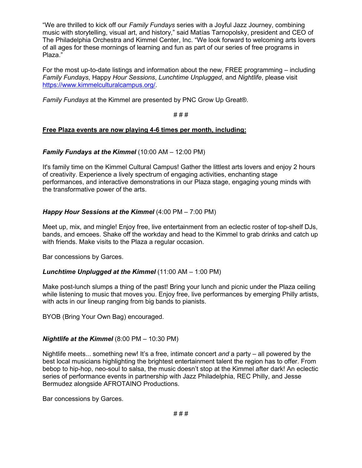"We are thrilled to kick off our *Family Fundays* series with a Joyful Jazz Journey, combining music with storytelling, visual art, and history," said Matías Tarnopolsky, president and CEO of The Philadelphia Orchestra and Kimmel Center, Inc. "We look forward to welcoming arts lovers of all ages for these mornings of learning and fun as part of our series of free programs in Plaza."

For the most up-to-date listings and information about the new, FREE programming – including *Family Fundays*, Happy *Hour Sessions*, *Lunchtime Unplugged*, and *Nightlife*, please visit [https://www.kimmelculturalcampus.org/.](https://www.kimmelculturalcampus.org/)

*Family Fundays* at the Kimmel are presented by PNC Grow Up Great®.

# # #

# **Free Plaza events are now playing 4-6 times per month, including:**

# *Family Fundays at the Kimmel* (10:00 AM – 12:00 PM)

It's family time on the Kimmel Cultural Campus! Gather the littlest arts lovers and enjoy 2 hours of creativity. Experience a lively spectrum of engaging activities, enchanting stage performances, and interactive demonstrations in our Plaza stage, engaging young minds with the transformative power of the arts.

# *Happy Hour Sessions at the Kimmel* (4:00 PM – 7:00 PM)

Meet up, mix, and mingle! Enjoy free, live entertainment from an eclectic roster of top-shelf DJs, bands, and emcees. Shake off the workday and head to the Kimmel to grab drinks and catch up with friends. Make visits to the Plaza a regular occasion.

Bar concessions by Garces.

# *Lunchtime Unplugged at the Kimmel* (11:00 AM – 1:00 PM)

Make post-lunch slumps a thing of the past! Bring your lunch and picnic under the Plaza ceiling while listening to music that moves you. Enjoy free, live performances by emerging Philly artists, with acts in our lineup ranging from big bands to pianists.

BYOB (Bring Your Own Bag) encouraged.

# *Nightlife at the Kimmel* (8:00 PM – 10:30 PM)

Nightlife meets... something new! It's a free, intimate concert *and* a party – all powered by the best local musicians highlighting the brightest entertainment talent the region has to offer. From bebop to hip-hop, neo-soul to salsa, the music doesn't stop at the Kimmel after dark! An eclectic series of performance events in partnership with Jazz Philadelphia, REC Philly, and Jesse Bermudez alongside AFROTAINO Productions.

Bar concessions by Garces.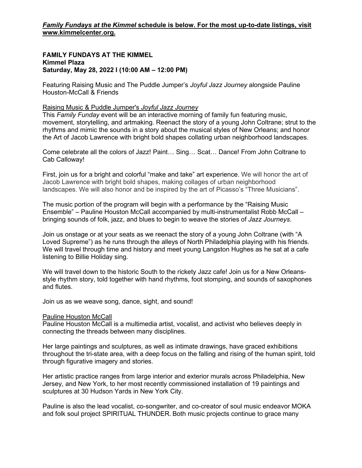#### **FAMILY FUNDAYS AT THE KIMMEL Kimmel Plaza Saturday, May 28, 2022 I (10:00 AM – 12:00 PM)**

Featuring Raising Music and The Puddle Jumper's *Joyful Jazz Journey* alongside Pauline Houston-McCall & Friends

# Raising Music & Puddle Jumper's *Joyful Jazz Journey*

This *Family Funday* event will be an interactive morning of family fun featuring music, movement, storytelling, and artmaking. Reenact the story of a young John Coltrane; strut to the rhythms and mimic the sounds in a story about the musical styles of New Orleans; and honor the Art of Jacob Lawrence with bright bold shapes collating urban neighborhood landscapes.

Come celebrate all the colors of Jazz! Paint… Sing… Scat… Dance! From John Coltrane to Cab Calloway!

First, join us for a bright and colorful "make and take" art experience. We will honor the art of Jacob Lawrence with bright bold shapes, making collages of urban neighborhood landscapes. We will also honor and be inspired by the art of Picasso's "Three Musicians".

The music portion of the program will begin with a performance by the "Raising Music Ensemble" – Pauline Houston McCall accompanied by multi-instrumentalist Robb McCall – bringing sounds of folk, jazz, and blues to begin to weave the stories of *Jazz Journeys*.

Join us onstage or at your seats as we reenact the story of a young John Coltrane (with "A Loved Supreme") as he runs through the alleys of North Philadelphia playing with his friends. We will travel through time and history and meet young Langston Hughes as he sat at a cafe listening to Billie Holiday sing.

We will travel down to the historic South to the rickety Jazz cafe! Join us for a New Orleansstyle rhythm story, told together with hand rhythms, foot stomping, and sounds of saxophones and flutes.

Join us as we weave song, dance, sight, and sound!

#### Pauline Houston McCall

Pauline Houston McCall is a multimedia artist, vocalist, and activist who believes deeply in connecting the threads between many disciplines.

Her large paintings and sculptures, as well as intimate drawings, have graced exhibitions throughout the tri-state area, with a deep focus on the falling and rising of the human spirit, told through figurative imagery and stories.

Her artistic practice ranges from large interior and exterior murals across Philadelphia, New Jersey, and New York, to her most recently commissioned installation of 19 paintings and sculptures at 30 Hudson Yards in New York City.

Pauline is also the lead vocalist, co-songwriter, and co-creator of soul music endeavor MOKA and folk soul project SPIRITUAL THUNDER. Both music projects continue to grace many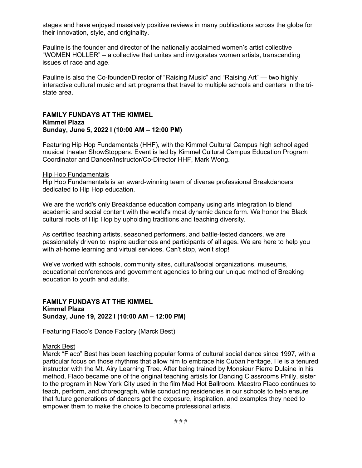stages and have enjoyed massively positive reviews in many publications across the globe for their innovation, style, and originality.

Pauline is the founder and director of the nationally acclaimed women's artist collective "WOMEN HOLLER" – a collective that unites and invigorates women artists, transcending issues of race and age. 

Pauline is also the Co-founder/Director of "Raising Music" and "Raising Art" — two highly interactive cultural music and art programs that travel to multiple schools and centers in the tristate area.

#### **FAMILY FUNDAYS AT THE KIMMEL Kimmel Plaza Sunday, June 5, 2022 I (10:00 AM – 12:00 PM)**

Featuring Hip Hop Fundamentals (HHF), with the Kimmel Cultural Campus high school aged musical theater ShowStoppers. Event is led by Kimmel Cultural Campus Education Program Coordinator and Dancer/Instructor/Co-Director HHF, Mark Wong.

#### Hip Hop Fundamentals

Hip Hop Fundamentals is an award-winning team of diverse professional Breakdancers dedicated to Hip Hop education.

We are the world's only Breakdance education company using arts integration to blend academic and social content with the world's most dynamic dance form. We honor the Black cultural roots of Hip Hop by upholding traditions and teaching diversity.

As certified teaching artists, seasoned performers, and battle-tested dancers, we are passionately driven to inspire audiences and participants of all ages. We are here to help you with at-home learning and virtual services. Can't stop, won't stop!

We've worked with schools, community sites, cultural/social organizations, museums, educational conferences and government agencies to bring our unique method of Breaking education to youth and adults.

#### **FAMILY FUNDAYS AT THE KIMMEL Kimmel Plaza Sunday, June 19, 2022 I (10:00 AM – 12:00 PM)**

Featuring Flaco's Dance Factory (Marck Best)

#### Marck Best

Marck "Flaco" Best has been teaching popular forms of cultural social dance since 1997, with a particular focus on those rhythms that allow him to embrace his Cuban heritage. He is a tenured instructor with the Mt. Airy Learning Tree. After being trained by Monsieur Pierre Dulaine in his method, Flaco became one of the original teaching artists for Dancing Classrooms Philly, sister to the program in New York City used in the film Mad Hot Ballroom. Maestro Flaco continues to teach, perform, and choreograph, while conducting residencies in our schools to help ensure that future generations of dancers get the exposure, inspiration, and examples they need to empower them to make the choice to become professional artists.